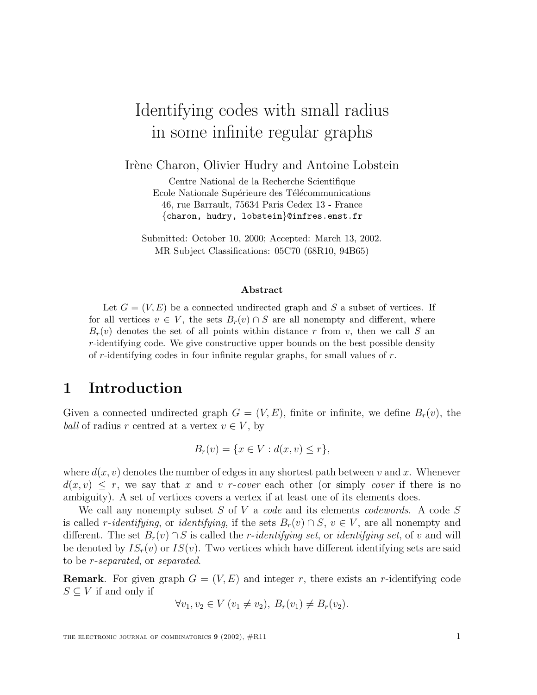# Identifying codes with small radius in some infinite regular graphs

Irène Charon, Olivier Hudry and Antoine Lobstein

Centre National de la Recherche Scientifique Ecole Nationale Supérieure des Télécommunications 46, rue Barrault, 75634 Paris Cedex 13 - France {charon, hudry, lobstein}@infres.enst.fr

Submitted: October 10, 2000; Accepted: March 13, 2002. MR Subject Classifications: 05C70 (68R10, 94B65)

#### **Abstract**

Let  $G = (V, E)$  be a connected undirected graph and S a subset of vertices. If for all vertices  $v \in V$ , the sets  $B_r(v) \cap S$  are all nonempty and different, where  $B_r(v)$  denotes the set of all points within distance r from v, then we call S an r-identifying code. We give constructive upper bounds on the best possible density of r-identifying codes in four infinite regular graphs, for small values of  $r$ .

# **1 Introduction**

Given a connected undirected graph  $G = (V, E)$ , finite or infinite, we define  $B_r(v)$ , the *ball* of radius r centred at a vertex  $v \in V$ , by

$$
B_r(v) = \{x \in V : d(x, v) \le r\},\
$$

where  $d(x, v)$  denotes the number of edges in any shortest path between v and x. Whenever  $d(x, v) \leq r$ , we say that x and v r-cover each other (or simply cover if there is no ambiguity). A set of vertices covers a vertex if at least one of its elements does.

We call any nonempty subset S of V a code and its elements codewords. A code S is called *r-identifying*, or *identifying*, if the sets  $B_r(v) \cap S$ ,  $v \in V$ , are all nonempty and different. The set  $B_r(v) \cap S$  is called the *r-identifying set*, or *identifying set*, of v and will be denoted by  $IS_r(v)$  or  $IS(v)$ . Two vertices which have different identifying sets are said to be r-separated, or separated.

**Remark**. For given graph  $G = (V, E)$  and integer r, there exists an r-identifying code  $S \subseteq V$  if and only if

$$
\forall v_1, v_2 \in V \ (v_1 \neq v_2), \ B_r(v_1) \neq B_r(v_2).
$$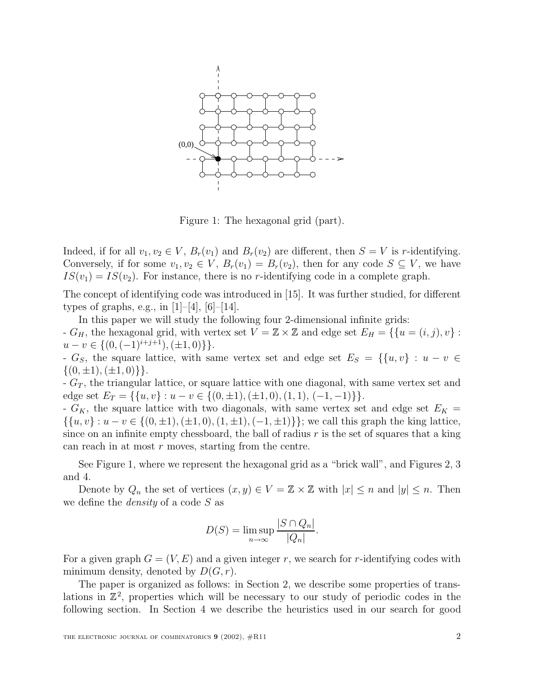

Figure 1: The hexagonal grid (part).

Indeed, if for all  $v_1, v_2 \in V$ ,  $B_r(v_1)$  and  $B_r(v_2)$  are different, then  $S = V$  is r-identifying. Conversely, if for some  $v_1, v_2 \in V$ ,  $B_r(v_1) = B_r(v_2)$ , then for any code  $S \subseteq V$ , we have  $IS(v_1) = IS(v_2)$ . For instance, there is no r-identifying code in a complete graph.

The concept of identifying code was introduced in [15]. It was further studied, for different types of graphs, e.g., in  $[1]-[4]$ ,  $[6]-[14]$ .

In this paper we will study the following four 2-dimensional infinite grids: -  $G_H$ , the hexagonal grid, with vertex set  $V = \mathbb{Z} \times \mathbb{Z}$  and edge set  $E_H = \{ \{u = (i, j), v\} :$  $u - v \in \{ (0, (-1)^{i+j+1}), (\pm 1, 0) \} \}.$ 

- G<sub>S</sub>, the square lattice, with same vertex set and edge set  $E_S = \{ \{u, v\} : u - v \in$  $\{(0, \pm 1), (\pm 1, 0)\}\}.$ 

 $-G_T$ , the triangular lattice, or square lattice with one diagonal, with same vertex set and edge set  $E_T = \{\{u, v\} : u - v \in \{(0, \pm 1), (\pm 1, 0), (1, 1), (-1, -1)\}\}.$ 

-  $G_K$ , the square lattice with two diagonals, with same vertex set and edge set  $E_K$  =  $\{\{u, v\} : u - v \in \{(0, \pm 1), (\pm 1, 0), (1, \pm 1), (-1, \pm 1)\}\; ;$  we call this graph the king lattice, since on an infinite empty chessboard, the ball of radius  $r$  is the set of squares that a king can reach in at most  $r$  moves, starting from the centre.

See Figure 1, where we represent the hexagonal grid as a "brick wall", and Figures 2, 3 and 4.

Denote by  $Q_n$  the set of vertices  $(x, y) \in V = \mathbb{Z} \times \mathbb{Z}$  with  $|x| \leq n$  and  $|y| \leq n$ . Then we define the *density* of a code S as

$$
D(S) = \limsup_{n \to \infty} \frac{|S \cap Q_n|}{|Q_n|}.
$$

For a given graph  $G = (V, E)$  and a given integer r, we search for r-identifying codes with minimum density, denoted by  $D(G, r)$ .

The paper is organized as follows: in Section 2, we describe some properties of translations in  $\mathbb{Z}^2$ , properties which will be necessary to our study of periodic codes in the following section. In Section 4 we describe the heuristics used in our search for good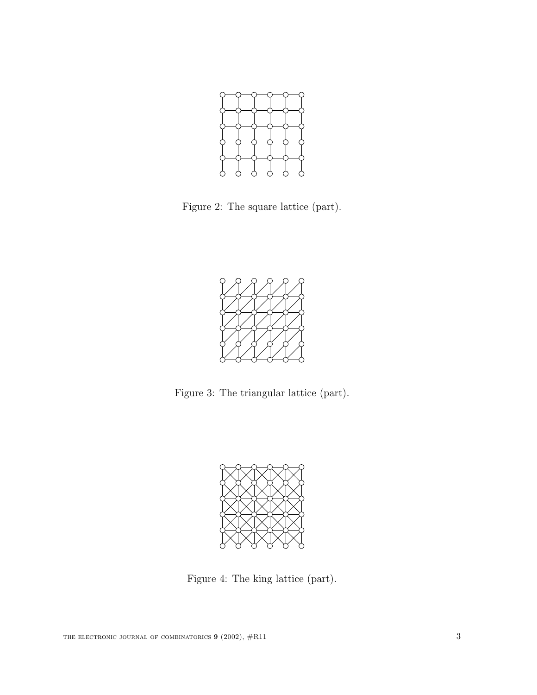

Figure 2: The square lattice (part).



Figure 3: The triangular lattice (part).



Figure 4: The king lattice (part).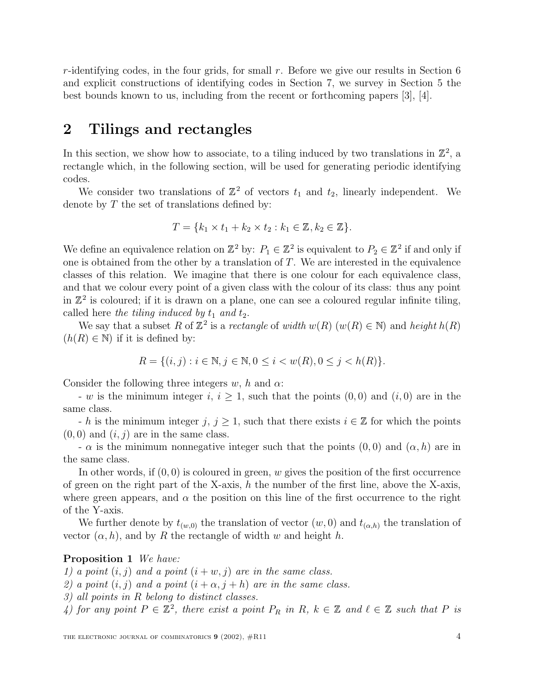$r$ -identifying codes, in the four grids, for small  $r$ . Before we give our results in Section 6 and explicit constructions of identifying codes in Section 7, we survey in Section 5 the best bounds known to us, including from the recent or forthcoming papers [3], [4].

# **2 Tilings and rectangles**

In this section, we show how to associate, to a tiling induced by two translations in  $\mathbb{Z}^2$ , a rectangle which, in the following section, will be used for generating periodic identifying codes.

We consider two translations of  $\mathbb{Z}^2$  of vectors  $t_1$  and  $t_2$ , linearly independent. We denote by  $T$  the set of translations defined by:

$$
T = \{k_1 \times t_1 + k_2 \times t_2 : k_1 \in \mathbb{Z}, k_2 \in \mathbb{Z}\}.
$$

We define an equivalence relation on  $\mathbb{Z}^2$  by:  $P_1 \in \mathbb{Z}^2$  is equivalent to  $P_2 \in \mathbb{Z}^2$  if and only if one is obtained from the other by a translation of  $T$ . We are interested in the equivalence classes of this relation. We imagine that there is one colour for each equivalence class, and that we colour every point of a given class with the colour of its class: thus any point in  $\mathbb{Z}^2$  is coloured; if it is drawn on a plane, one can see a coloured regular infinite tiling, called here the tiling induced by  $t_1$  and  $t_2$ .

We say that a subset R of  $\mathbb{Z}^2$  is a rectangle of width  $w(R)$  ( $w(R) \in \mathbb{N}$ ) and height  $h(R)$  $(h(R) \in \mathbb{N})$  if it is defined by:

$$
R = \{(i, j) : i \in \mathbb{N}, j \in \mathbb{N}, 0 \le i < w(R), 0 \le j < h(R)\}.
$$

Consider the following three integers w, h and  $\alpha$ :

- w is the minimum integer i,  $i \geq 1$ , such that the points  $(0,0)$  and  $(i,0)$  are in the same class.

- h is the minimum integer j,  $j \geq 1$ , such that there exists  $i \in \mathbb{Z}$  for which the points  $(0, 0)$  and  $(i, j)$  are in the same class.

 $-\alpha$  is the minimum nonnegative integer such that the points  $(0,0)$  and  $(\alpha, h)$  are in the same class.

In other words, if  $(0, 0)$  is coloured in green, w gives the position of the first occurrence of green on the right part of the X-axis,  $h$  the number of the first line, above the X-axis, where green appears, and  $\alpha$  the position on this line of the first occurrence to the right of the Y-axis.

We further denote by  $t_{(w,0)}$  the translation of vector  $(w,0)$  and  $t_{(\alpha,h)}$  the translation of vector  $(\alpha, h)$ , and by R the rectangle of width w and height h.

#### **Proposition 1** We have:

1) a point  $(i, j)$  and a point  $(i + w, j)$  are in the same class.

2) a point  $(i, j)$  and a point  $(i + \alpha, j + h)$  are in the same class.

3) all points in R belong to distinct classes.

4) for any point  $P \in \mathbb{Z}^2$ , there exist a point  $P_R$  in  $R, k \in \mathbb{Z}$  and  $\ell \in \mathbb{Z}$  such that P is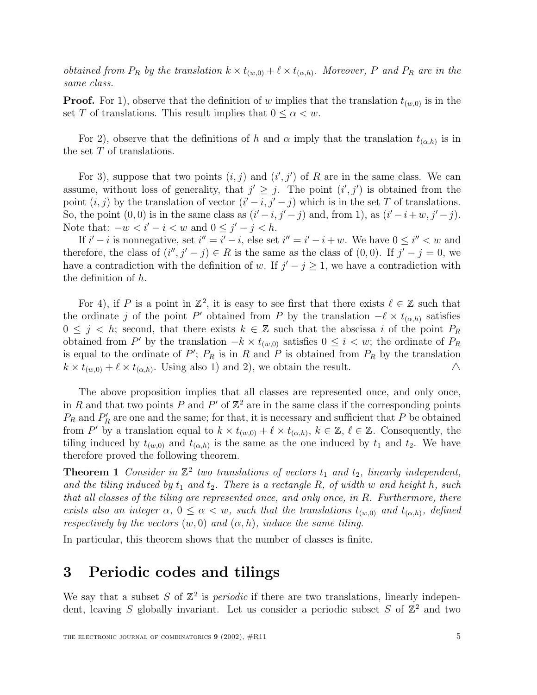obtained from  $P_R$  by the translation  $k \times t_{(w,0)} + \ell \times t_{(\alpha,h)}$ . Moreover, P and  $P_R$  are in the same class.

**Proof.** For 1), observe that the definition of w implies that the translation  $t_{(w,0)}$  is in the set T of translations. This result implies that  $0 \leq \alpha < w$ .

For 2), observe that the definitions of h and  $\alpha$  imply that the translation  $t_{(\alpha,h)}$  is in the set  $T$  of translations.

For 3), suppose that two points  $(i, j)$  and  $(i', j')$  of R are in the same class. We can assume, without loss of generality, that  $j' \geq j$ . The point  $(i', j')$  is obtained from the point  $(i, j)$  by the translation of vector  $(i' - i, j' - j)$  which is in the set T of translations. So, the point  $(0,0)$  is in the same class as  $(i'-i, j'-j)$  and, from 1), as  $(i'-i+w, j'-j)$ . Note that:  $-w < i' - i < w$  and  $0 \leq j' - j < h$ .

If  $i'-i$  is nonnegative, set  $i'' = i' - i$ , else set  $i'' = i' - i + w$ . We have  $0 \le i'' < w$  and therefore, the class of  $(i'', j' - j) \in R$  is the same as the class of  $(0, 0)$ . If  $j' - j = 0$ , we have a contradiction with the definition of w. If  $j'-j \geq 1$ , we have a contradiction with the definition of h.

For 4), if P is a point in  $\mathbb{Z}^2$ , it is easy to see first that there exists  $\ell \in \mathbb{Z}$  such that the ordinate j of the point P' obtained from P by the translation  $-\ell \times t_{(\alpha,h)}$  satisfies  $0 \leq j \leq k$ ; second, that there exists  $k \in \mathbb{Z}$  such that the abscissa i of the point  $P_R$ obtained from P' by the translation  $-k \times t_{(w,0)}$  satisfies  $0 \leq i \lt w$ ; the ordinate of  $P_R$ is equal to the ordinate of P';  $P_R$  is in R and P is obtained from  $P_R$  by the translation  $k \times t_{(w,0)} + \ell \times t_{(\alpha,h)}$ . Using also 1) and 2), we obtain the result.  $\Delta$ 

The above proposition implies that all classes are represented once, and only once, in R and that two points P and P' of  $\mathbb{Z}^2$  are in the same class if the corresponding points  $P_R$  and  $P'_R$  are one and the same; for that, it is necessary and sufficient that P be obtained from P' by a translation equal to  $k \times t_{(w,0)} + \ell \times t_{(\alpha,h)}$ ,  $k \in \mathbb{Z}$ ,  $\ell \in \mathbb{Z}$ . Consequently, the tiling induced by  $t_{(w,0)}$  and  $t_{(\alpha,h)}$  is the same as the one induced by  $t_1$  and  $t_2$ . We have therefore proved the following theorem.

**Theorem 1** Consider in  $\mathbb{Z}^2$  two translations of vectors  $t_1$  and  $t_2$ , linearly independent, and the tiling induced by  $t_1$  and  $t_2$ . There is a rectangle R, of width w and height h, such that all classes of the tiling are represented once, and only once, in R. Furthermore, there exists also an integer  $\alpha$ ,  $0 \leq \alpha < w$ , such that the translations  $t_{(w,0)}$  and  $t_{(\alpha,h)}$ , defined respectively by the vectors  $(w, 0)$  and  $(\alpha, h)$ , induce the same tiling.

In particular, this theorem shows that the number of classes is finite.

## **3 Periodic codes and tilings**

We say that a subset S of  $\mathbb{Z}^2$  is *periodic* if there are two translations, linearly independent, leaving S globally invariant. Let us consider a periodic subset S of  $\mathbb{Z}^2$  and two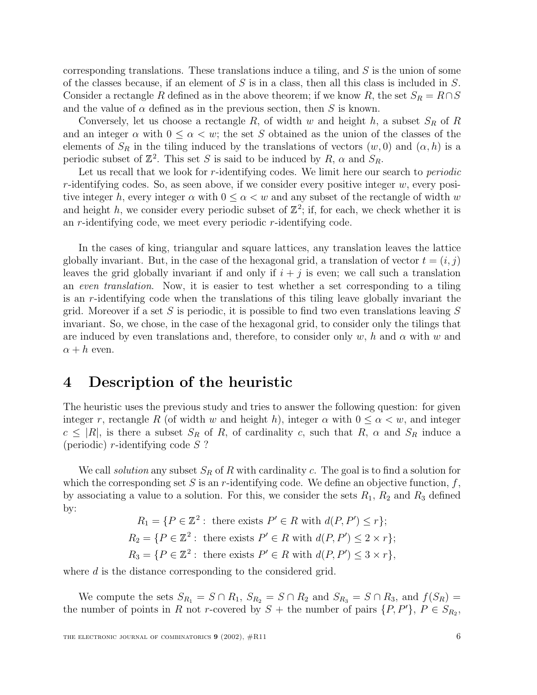corresponding translations. These translations induce a tiling, and  $S$  is the union of some of the classes because, if an element of  $S$  is in a class, then all this class is included in  $S$ . Consider a rectangle R defined as in the above theorem; if we know R, the set  $S_R = R \cap S$ and the value of  $\alpha$  defined as in the previous section, then S is known.

Conversely, let us choose a rectangle R, of width w and height h, a subset  $S_R$  of R and an integer  $\alpha$  with  $0 \leq \alpha < w$ ; the set S obtained as the union of the classes of the elements of  $S_R$  in the tiling induced by the translations of vectors  $(w, 0)$  and  $(\alpha, h)$  is a periodic subset of  $\mathbb{Z}^2$ . This set S is said to be induced by R,  $\alpha$  and  $S_R$ .

Let us recall that we look for r-identifying codes. We limit here our search to *periodic*  $r$ -identifying codes. So, as seen above, if we consider every positive integer  $w$ , every positive integer h, every integer  $\alpha$  with  $0 \leq \alpha < w$  and any subset of the rectangle of width w and height h, we consider every periodic subset of  $\mathbb{Z}^2$ ; if, for each, we check whether it is an r-identifying code, we meet every periodic r-identifying code.

In the cases of king, triangular and square lattices, any translation leaves the lattice globally invariant. But, in the case of the hexagonal grid, a translation of vector  $t = (i, j)$ leaves the grid globally invariant if and only if  $i + j$  is even; we call such a translation an even translation. Now, it is easier to test whether a set corresponding to a tiling is an r-identifying code when the translations of this tiling leave globally invariant the grid. Moreover if a set S is periodic, it is possible to find two even translations leaving  $S$ invariant. So, we chose, in the case of the hexagonal grid, to consider only the tilings that are induced by even translations and, therefore, to consider only w, h and  $\alpha$  with w and  $\alpha + h$  even.

# **4 Description of the heuristic**

The heuristic uses the previous study and tries to answer the following question: for given integer r, rectangle R (of width w and height h), integer  $\alpha$  with  $0 \leq \alpha < w$ , and integer  $c \leq |R|$ , is there a subset  $S_R$  of R, of cardinality c, such that R,  $\alpha$  and  $S_R$  induce a (periodic)  $r$ -identifying code  $S$ ?

We call *solution* any subset  $S_R$  of R with cardinality c. The goal is to find a solution for which the corresponding set S is an r-identifying code. We define an objective function,  $f$ , by associating a value to a solution. For this, we consider the sets  $R_1$ ,  $R_2$  and  $R_3$  defined by:

> $R_1 = \{ P \in \mathbb{Z}^2 : \text{ there exists } P' \in R \text{ with } d(P, P') \leq r \};$  $R_2 = \{P \in \mathbb{Z}^2 : \text{ there exists } P' \in R \text{ with } d(P, P') \leq 2 \times r \};$  $R_3 = \{ P \in \mathbb{Z}^2 : \text{ there exists } P' \in R \text{ with } d(P, P') \leq 3 \times r \},\$

where  $d$  is the distance corresponding to the considered grid.

We compute the sets  $S_{R_1} = S \cap R_1$ ,  $S_{R_2} = S \cap R_2$  and  $S_{R_3} = S \cap R_3$ , and  $f(S_R) =$ the number of points in R not r-covered by  $S +$  the number of pairs  $\{P, P'\}, P \in S_{R_2}$ ,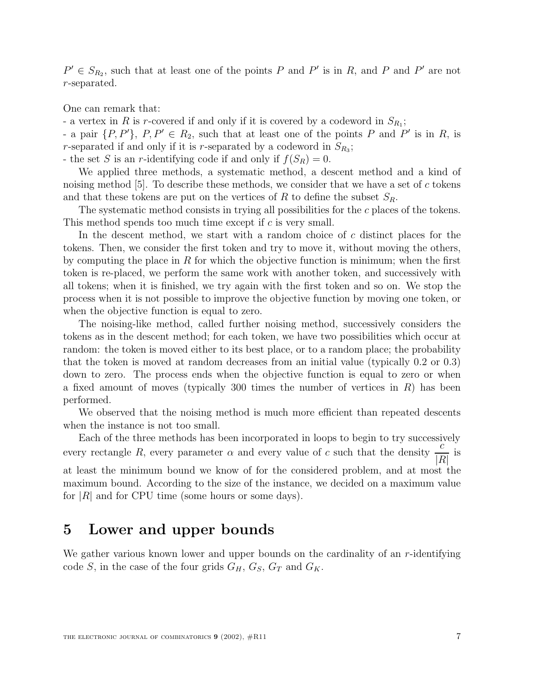$P' \in S_{R_2}$ , such that at least one of the points P and P' is in R, and P and P' are not r-separated.

One can remark that:

- a vertex in R is r-covered if and only if it is covered by a codeword in  $S_{R_1}$ ;

- a pair  $\{P, P'\}, P, P' \in R_2$ , such that at least one of the points P and P' is in R, is r-separated if and only if it is r-separated by a codeword in  $S_{R_3}$ ;

- the set S is an r-identifying code if and only if  $f(S_R) = 0$ .

We applied three methods, a systematic method, a descent method and a kind of noising method  $[5]$ . To describe these methods, we consider that we have a set of c tokens and that these tokens are put on the vertices of R to define the subset  $S_R$ .

The systematic method consists in trying all possibilities for the c places of the tokens. This method spends too much time except if  $c$  is very small.

In the descent method, we start with a random choice of c distinct places for the tokens. Then, we consider the first token and try to move it, without moving the others, by computing the place in  $R$  for which the objective function is minimum; when the first token is re-placed, we perform the same work with another token, and successively with all tokens; when it is finished, we try again with the first token and so on. We stop the process when it is not possible to improve the objective function by moving one token, or when the objective function is equal to zero.

The noising-like method, called further noising method, successively considers the tokens as in the descent method; for each token, we have two possibilities which occur at random: the token is moved either to its best place, or to a random place; the probability that the token is moved at random decreases from an initial value (typically 0.2 or 0.3) down to zero. The process ends when the objective function is equal to zero or when a fixed amount of moves (typically 300 times the number of vertices in  $R$ ) has been performed.

We observed that the noising method is much more efficient than repeated descents when the instance is not too small.

Each of the three methods has been incorporated in loops to begin to try successively Each of the three methods has been incorporated in loops to begin to try successi-<br>every rectangle R, every parameter  $\alpha$  and every value of c such that the density  $\frac{c}{\sqrt{R}}$  $\frac{6}{|R|}$  is at least the minimum bound we know of for the considered problem, and at most the maximum bound. According to the size of the instance, we decided on a maximum value for  $|R|$  and for CPU time (some hours or some days).

# **5 Lower and upper bounds**

We gather various known lower and upper bounds on the cardinality of an r-identifying code S, in the case of the four grids  $G_H$ ,  $G_S$ ,  $G_T$  and  $G_K$ .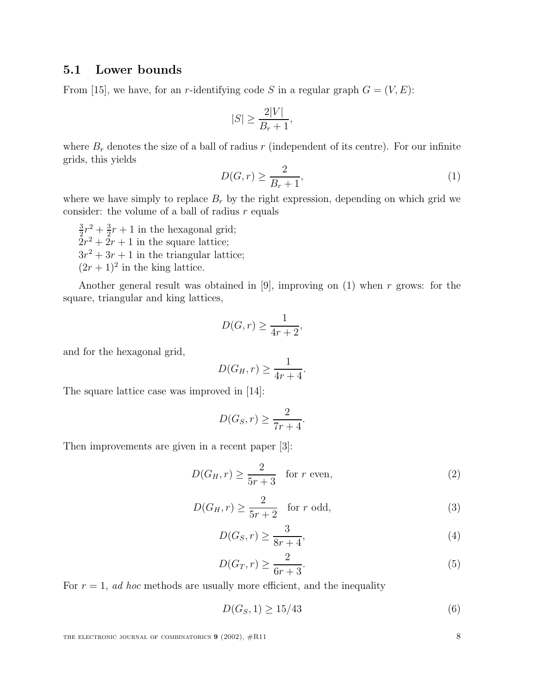#### **5.1 Lower bounds**

From [15], we have, for an r-identifying code S in a regular graph  $G = (V, E)$ :

$$
|S| \ge \frac{2|V|}{B_r + 1},
$$

where  $B_r$  denotes the size of a ball of radius r (independent of its centre). For our infinite grids, this yields

$$
D(G,r) \ge \frac{2}{B_r + 1},\tag{1}
$$

where we have simply to replace  $B_r$  by the right expression, depending on which grid we consider: the volume of a ball of radius  $r$  equals

 $\frac{3}{2}r^2 + \frac{3}{2}r + 1$  in the hexagonal grid;  $2r^2 + 2r + 1$  in the square lattice;  $3r^2 + 3r + 1$  in the triangular lattice;  $(2r + 1)^2$  in the king lattice.

Another general result was obtained in [9], improving on  $(1)$  when r grows: for the square, triangular and king lattices,

$$
D(G,r) \ge \frac{1}{4r+2},
$$

and for the hexagonal grid,

$$
D(G_H, r) \ge \frac{1}{4r + 4}.
$$

The square lattice case was improved in [14]:

$$
D(G_S, r) \ge \frac{2}{7r + 4}.
$$

Then improvements are given in a recent paper [3]:

$$
D(G_H, r) \ge \frac{2}{5r + 3} \quad \text{for } r \text{ even},\tag{2}
$$

$$
D(G_H, r) \ge \frac{2}{5r + 2} \quad \text{for } r \text{ odd},\tag{3}
$$

$$
D(G_S, r) \ge \frac{3}{8r + 4},\tag{4}
$$

$$
D(G_T, r) \ge \frac{2}{6r + 3}.\tag{5}
$$

For  $r = 1$ , ad hoc methods are usually more efficient, and the inequality

$$
D(G_S, 1) \ge 15/43\tag{6}
$$

THE ELECTRONIC JOURNAL OF COMBINATORICS **9** (2002),  $\#R11$  8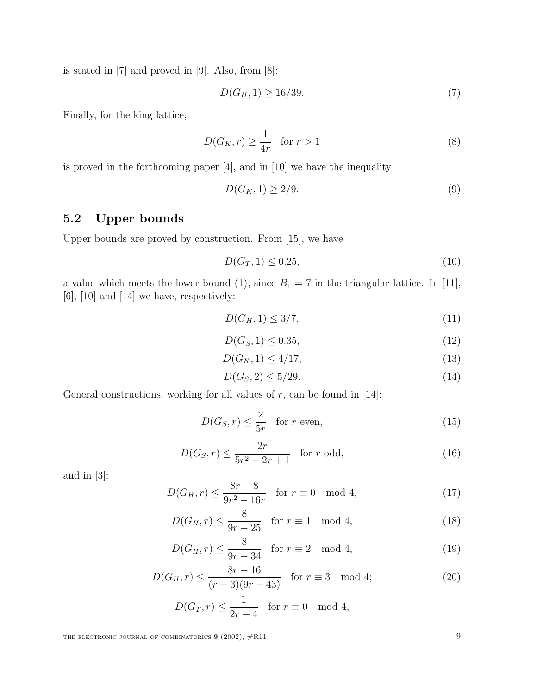is stated in [7] and proved in [9]. Also, from [8]:

$$
D(G_H, 1) \ge 16/39. \tag{7}
$$

Finally, for the king lattice,

$$
D(G_K, r) \ge \frac{1}{4r} \quad \text{for } r > 1\tag{8}
$$

is proved in the forthcoming paper [4], and in [10] we have the inequality

$$
D(G_K, 1) \ge 2/9. \tag{9}
$$

### **5.2 Upper bounds**

Upper bounds are proved by construction. From [15], we have

$$
D(G_T, 1) \le 0.25,\t(10)
$$

a value which meets the lower bound (1), since  $B_1 = 7$  in the triangular lattice. In [11],  $[6]$ ,  $[10]$  and  $[14]$  we have, respectively:

$$
D(G_H, 1) \le 3/7,\tag{11}
$$

$$
D(G_S, 1) \le 0.35,\t(12)
$$

$$
D(G_K, 1) \le 4/17,\t(13)
$$

$$
D(G_S, 2) \le 5/29. \tag{14}
$$

General constructions, working for all values of  $r$ , can be found in [14]:

$$
D(G_S, r) \le \frac{2}{5r} \quad \text{for } r \text{ even},\tag{15}
$$

$$
D(G_S, r) \le \frac{2r}{5r^2 - 2r + 1} \quad \text{for } r \text{ odd},\tag{16}
$$

and in [3]:

$$
D(G_H, r) \le \frac{8r - 8}{9r^2 - 16r} \quad \text{for } r \equiv 0 \mod 4,
$$
\n
$$
(17)
$$

$$
D(G_H, r) \le \frac{8}{9r - 25} \quad \text{for } r \equiv 1 \mod 4,
$$
 (18)

$$
D(G_H, r) \le \frac{8}{9r - 34} \quad \text{for } r \equiv 2 \mod 4,
$$
 (19)

$$
D(G_H, r) \le \frac{8r - 16}{(r - 3)(9r - 43)} \quad \text{for } r \equiv 3 \mod 4; \tag{20}
$$

$$
D(G_T, r) \le \frac{1}{2r + 4} \quad \text{for } r \equiv 0 \mod 4,
$$

THE ELECTRONIC JOURNAL OF COMBINATORICS **9** (2002),  $#R11$  **9**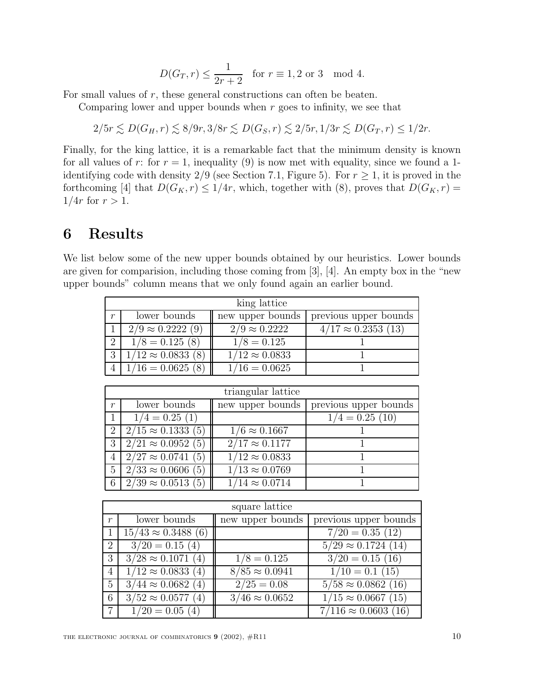$$
D(G_T, r) \le \frac{1}{2r+2} \quad \text{for } r \equiv 1, 2 \text{ or } 3 \mod 4.
$$

For small values of r, these general constructions can often be beaten.

Comparing lower and upper bounds when  $r$  goes to infinity, we see that

$$
2/5r \lesssim D(G_H, r) \lesssim 8/9r, 3/8r \lesssim D(G_S, r) \lesssim 2/5r, 1/3r \lesssim D(G_T, r) \leq 1/2r.
$$

Finally, for the king lattice, it is a remarkable fact that the minimum density is known for all values of r: for  $r = 1$ , inequality (9) is now met with equality, since we found a 1identifying code with density 2/9 (see Section 7.1, Figure 5). For  $r \geq 1$ , it is proved in the forthcoming [4] that  $D(G_K, r) \leq 1/4r$ , which, together with (8), proves that  $D(G_K, r) =$  $1/4r$  for  $r > 1$ .

# **6 Results**

We list below some of the new upper bounds obtained by our heuristics. Lower bounds are given for comparision, including those coming from [3], [4]. An empty box in the "new upper bounds" column means that we only found again an earlier bound.

| king lattice     |                          |                       |                            |  |
|------------------|--------------------------|-----------------------|----------------------------|--|
| $\boldsymbol{r}$ | lower bounds             | new upper bounds      | previous upper bounds      |  |
|                  | $2/9 \approx 0.2222(9)$  | $2/9 \approx 0.2222$  | $4/17 \approx 0.2353$ (13) |  |
| $2^{\circ}$      | $1/8 = 0.125(8)$         | $1/8 = 0.125$         |                            |  |
|                  | $1/12 \approx 0.0833(8)$ | $1/12 \approx 0.0833$ |                            |  |
|                  | $4   1/16 = 0.0625(8)$   | $1/16 = 0.0625$       |                            |  |

| triangular lattice |                                  |                       |                       |  |
|--------------------|----------------------------------|-----------------------|-----------------------|--|
| $\boldsymbol{r}$   | lower bounds                     | new upper bounds      | previous upper bounds |  |
|                    | $1/4 = 0.25(1)$                  |                       | $1/4 = 0.25(10)$      |  |
| $\overline{2}$     | $2/15 \approx 0.1333(5)$         | $1/6 \approx 0.1667$  |                       |  |
| 3                  | $2/21 \approx 0.0952(5)$         | $2/17 \approx 0.1177$ |                       |  |
|                    | $4 \mid 2/27 \approx 0.0741$ (5) | $1/12 \approx 0.0833$ |                       |  |
| $5^{\circ}$        | $2/33 \approx 0.0606(5)$         | $1/13 \approx 0.0769$ |                       |  |
|                    | $6 \mid 2/39 \approx 0.0513$ (5) | $1/14 \approx 0.0714$ |                       |  |

| square lattice   |                           |                       |                            |  |
|------------------|---------------------------|-----------------------|----------------------------|--|
| $\boldsymbol{r}$ | lower bounds              | new upper bounds      | previous upper bounds      |  |
|                  | $15/43 \approx 0.3488(6)$ |                       | $7/20 = 0.35(12)$          |  |
| $\overline{2}$   | $3/20 = 0.15(4)$          |                       | $5/29 \approx 0.1724(14)$  |  |
| 3                | $3/28 \approx 0.1071(4)$  | $1/8 = 0.125$         | $3/20 = 0.15(16)$          |  |
| $\overline{4}$   | $1/12 \approx 0.0833(4)$  | $8/85 \approx 0.0941$ | $1/10 = 0.1$ (15)          |  |
| 5                | $3/44 \approx 0.0682(4)$  | $2/25 = 0.08$         | $5/58 \approx 0.0862$ (16) |  |
| 6                | $3/52 \approx 0.0577(4)$  | $3/46 \approx 0.0652$ | $1/15 \approx 0.0667(15)$  |  |
|                  | $1/20 = 0.05(4)$          |                       | $7/116 \approx 0.0603(16)$ |  |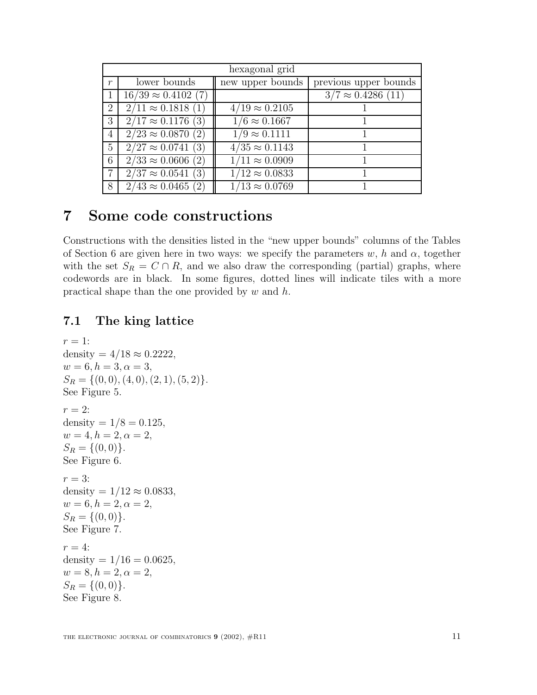| hexagonal grid |                            |                       |                           |  |
|----------------|----------------------------|-----------------------|---------------------------|--|
| $\mathfrak{r}$ | lower bounds               | new upper bounds      | previous upper bounds     |  |
|                | $16/39 \approx 0.4102$ (7) |                       | $3/7 \approx 0.4286$ (11) |  |
| 2              | $2/11 \approx 0.1818(1)$   | $4/19 \approx 0.2105$ |                           |  |
| 3              | $2/17 \approx 0.1176$ (3)  | $1/6 \approx 0.1667$  |                           |  |
| $\overline{4}$ | $2/23 \approx 0.0870(2)$   | $1/9 \approx 0.1111$  |                           |  |
| $\overline{5}$ | $2/27 \approx 0.0741(3)$   | $4/35 \approx 0.1143$ |                           |  |
| 6              | $2/33 \approx 0.0606$ (2)  | $1/11 \approx 0.0909$ |                           |  |
| $\overline{7}$ | $2/37 \approx 0.0541(3)$   | $1/12 \approx 0.0833$ |                           |  |
| 8              | $2/43 \approx 0.0465$ (2)  | $1/13 \approx 0.0769$ |                           |  |

# **7 Some code constructions**

Constructions with the densities listed in the "new upper bounds" columns of the Tables of Section 6 are given here in two ways: we specify the parameters  $w$ , h and  $\alpha$ , together with the set  $S_R = C \cap R$ , and we also draw the corresponding (partial) graphs, where codewords are in black. In some figures, dotted lines will indicate tiles with a more practical shape than the one provided by  $w$  and  $h$ .

#### **7.1 The king lattice**

```
r=1:
density = 4/18 \approx 0.2222,
w = 6, h = 3, \alpha = 3,S_R = \{(0, 0), (4, 0), (2, 1), (5, 2)\}.See Figure 5.
r=2:
density = 1/8 = 0.125,
w = 4, h = 2, \alpha = 2,S_R = \{(0, 0)\}.See Figure 6.
r = 3:
density = 1/12 \approx 0.0833,
w = 6, h = 2, \alpha = 2,S_R = \{(0, 0)\}.See Figure 7.
r=4:
density = 1/16 = 0.0625,
w = 8, h = 2, \alpha = 2,S_R = \{(0, 0)\}.See Figure 8.
```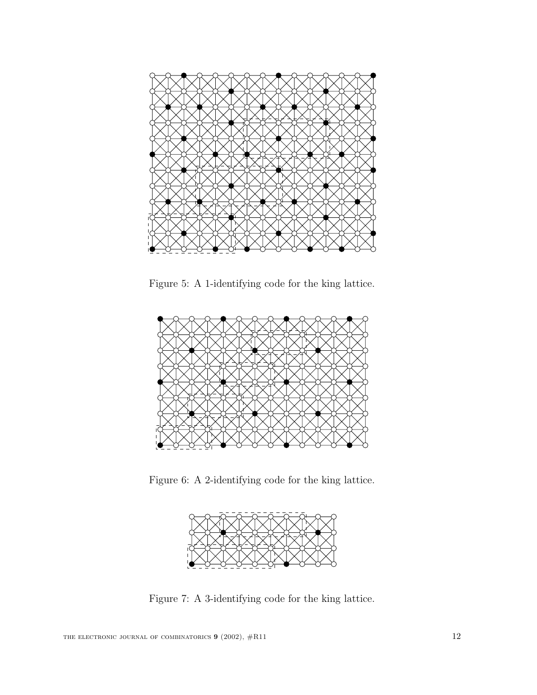

Figure 5: A 1-identifying code for the king lattice.



Figure 6: A 2-identifying code for the king lattice.



Figure 7: A 3-identifying code for the king lattice.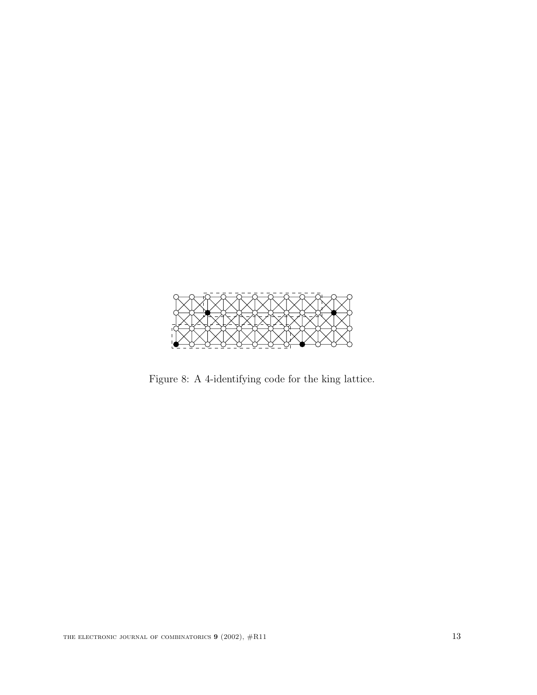

Figure 8: A 4-identifying code for the king lattice.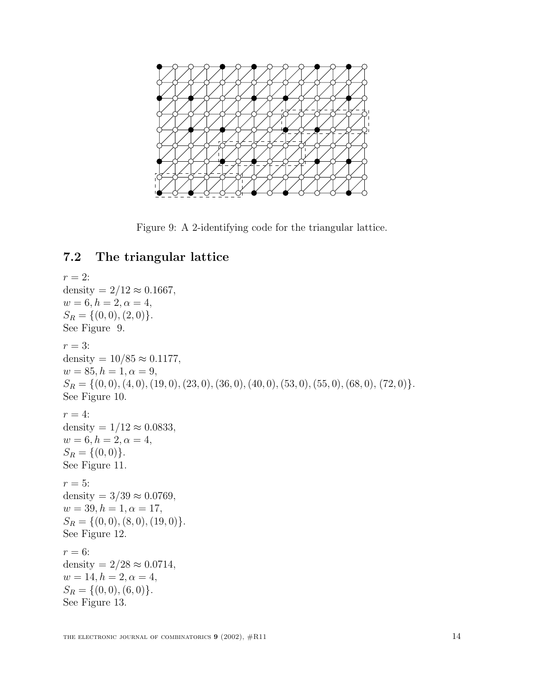

Figure 9: A 2-identifying code for the triangular lattice.

# **7.2 The triangular lattice**

 $r = 2$ : density =  $2/12 \approx 0.1667$ ,  $w = 6, h = 2, \alpha = 4,$  $S_R = \{(0,0), (2,0)\}.$ See Figure 9.  $r = 3$ : density =  $10/85 \approx 0.1177$ ,  $w = 85, h = 1, \alpha = 9,$  $S_R = \{(0, 0), (4, 0), (19, 0), (23, 0), (36, 0), (40, 0), (53, 0), (55, 0), (68, 0), (72, 0)\}.$ See Figure 10.  $r=4$ : density =  $1/12 \approx 0.0833$ ,  $w = 6, h = 2, \alpha = 4,$  $S_R = \{(0, 0)\}.$ See Figure 11.  $r=5$ : density =  $3/39 \approx 0.0769$ ,  $w = 39, h = 1, \alpha = 17,$  $S_R = \{(0, 0), (8, 0), (19, 0)\}.$ See Figure 12.  $r = 6$ : density =  $2/28 \approx 0.0714$ ,  $w = 14, h = 2, \alpha = 4,$  $S_R = \{(0, 0), (6, 0)\}.$ See Figure 13.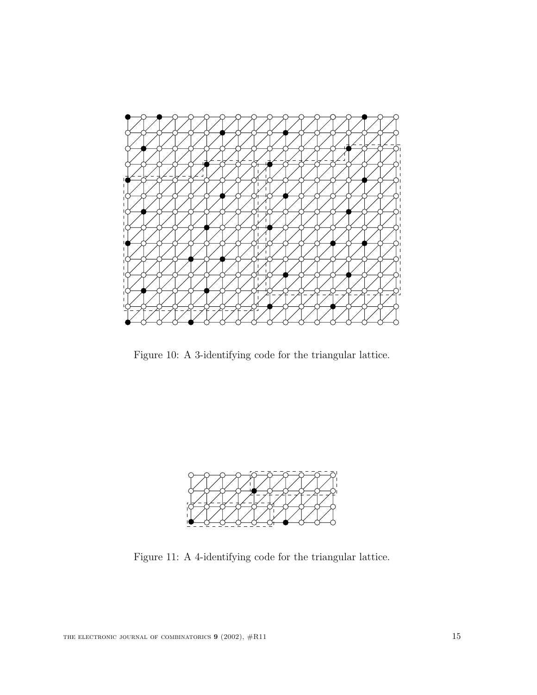

Figure 10: A 3-identifying code for the triangular lattice.



Figure 11: A 4-identifying code for the triangular lattice.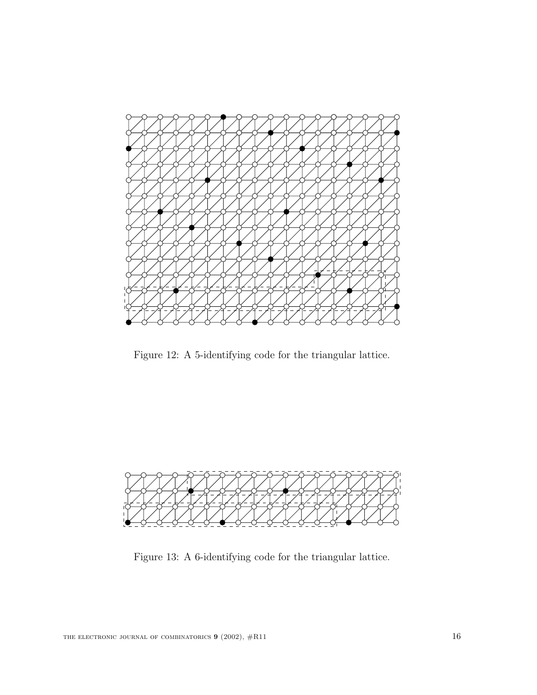

Figure 12: A 5-identifying code for the triangular lattice.



Figure 13: A 6-identifying code for the triangular lattice.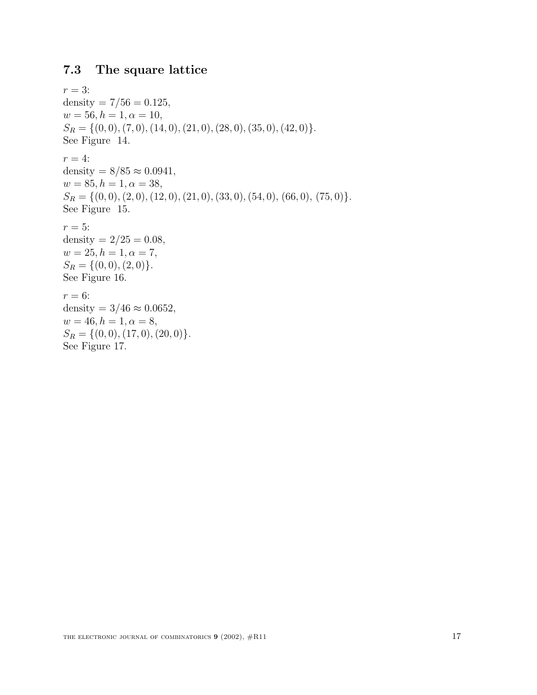### **7.3 The square lattice**

```
r = 3:
density = 7/56 = 0.125,
w = 56, h = 1, \alpha = 10,S_R = \{(0, 0), (7, 0), (14, 0), (21, 0), (28, 0), (35, 0), (42, 0)\}.See Figure 14.
r=4:
density = 8/85 \approx 0.0941,
w = 85, h = 1, \alpha = 38,S_R = \{(0, 0), (2, 0), (12, 0), (21, 0), (33, 0), (54, 0), (66, 0), (75, 0)\}.See Figure 15.
r = 5:
density = 2/25 = 0.08,
w = 25, h = 1, \alpha = 7,S_R = \{(0,0), (2,0)\}.See Figure 16.
r = 6:
density = 3/46 \approx 0.0652,
w = 46, h = 1, \alpha = 8,S_R = \{(0, 0), (17, 0), (20, 0)\}.See Figure 17.
```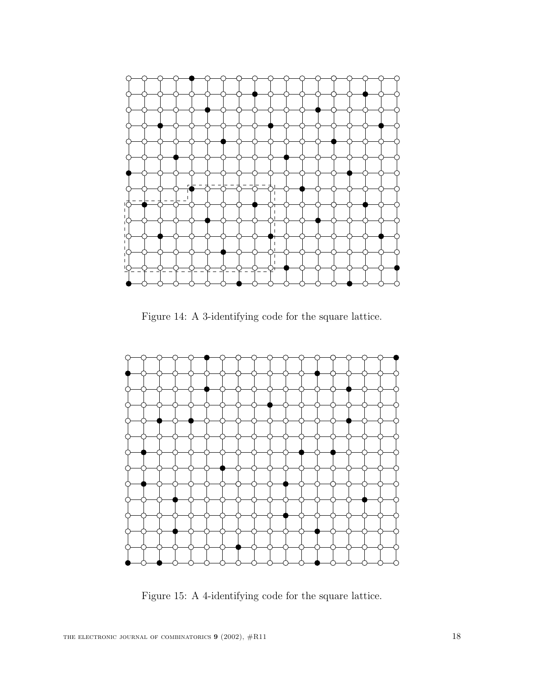

Figure 14: A 3-identifying code for the square lattice.



Figure 15: A 4-identifying code for the square lattice.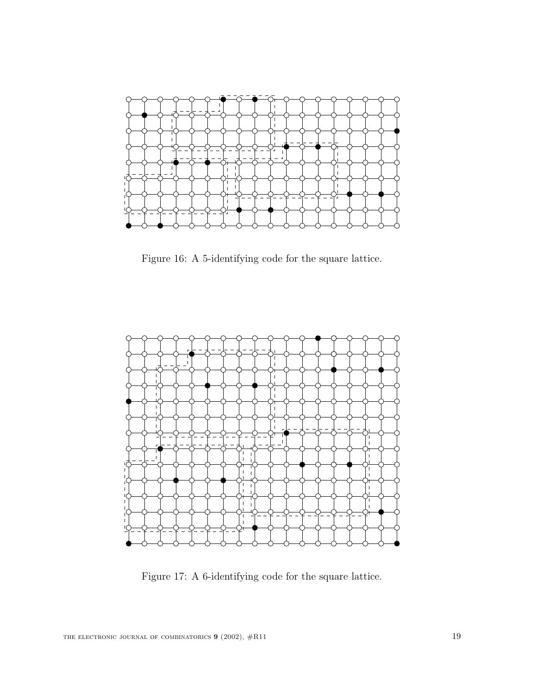

Figure 16: A 5-identifying code for the square lattice.



Figure 17: A 6-identifying code for the square lattice.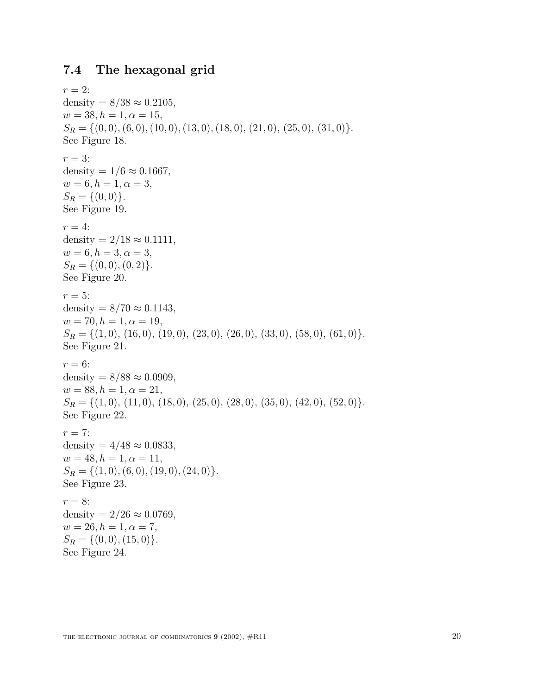# **7.4 The hexagonal grid**

 $r=2$ : density =  $8/38 \approx 0.2105$ ,  $w = 38, h = 1, \alpha = 15,$  $S_R = \{(0, 0), (6, 0), (10, 0), (13, 0), (18, 0), (21, 0), (25, 0), (31, 0)\}.$ See Figure 18.  $r = 3$ : density =  $1/6 \approx 0.1667$ ,  $w = 6, h = 1, \alpha = 3,$  $S_R = \{(0,0)\}.$ See Figure 19.  $r = 4$ : density =  $2/18 \approx 0.1111$ ,  $w = 6, h = 3, \alpha = 3,$  $S_R = \{(0, 0), (0, 2)\}.$ See Figure 20.  $r = 5$ : density =  $8/70 \approx 0.1143$ ,  $w = 70, h = 1, \alpha = 19,$  $S_R = \{(1,0), (16,0), (19,0), (23,0), (26,0), (33,0), (58,0), (61,0)\}.$ See Figure 21.  $r = 6$ : density =  $8/88 \approx 0.0909$ ,  $w = 88, h = 1, \alpha = 21,$  $S_R = \{(1,0), (11,0), (18,0), (25,0), (28,0), (35,0), (42,0), (52,0)\}.$ See Figure 22.  $r = 7$ : density =  $4/48 \approx 0.0833$ ,  $w = 48, h = 1, \alpha = 11,$  $S_R = \{(1, 0), (6, 0), (19, 0), (24, 0)\}.$ See Figure 23.  $r = 8$ : density =  $2/26 \approx 0.0769$ ,  $w = 26, h = 1, \alpha = 7,$  $S_R = \{(0, 0), (15, 0)\}.$ See Figure 24.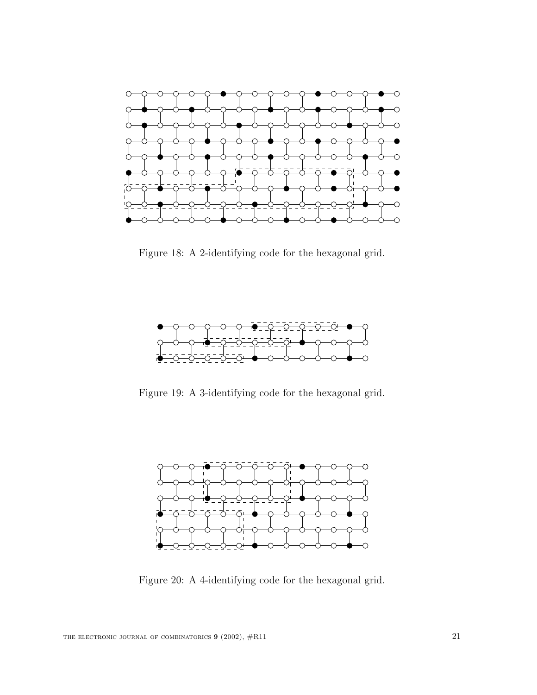

Figure 18: A 2-identifying code for the hexagonal grid.



Figure 19: A 3-identifying code for the hexagonal grid.



Figure 20: A 4-identifying code for the hexagonal grid.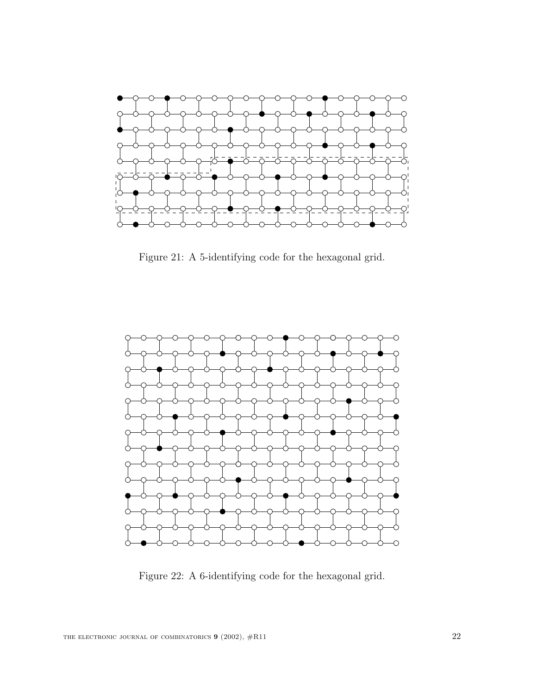

Figure 21: A 5-identifying code for the hexagonal grid.



Figure 22: A 6-identifying code for the hexagonal grid.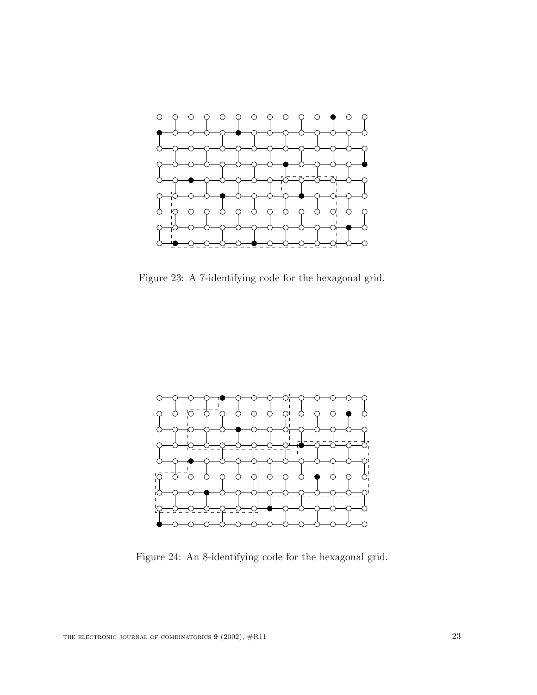

Figure 23: A 7-identifying code for the hexagonal grid.



Figure 24: An 8-identifying code for the hexagonal grid.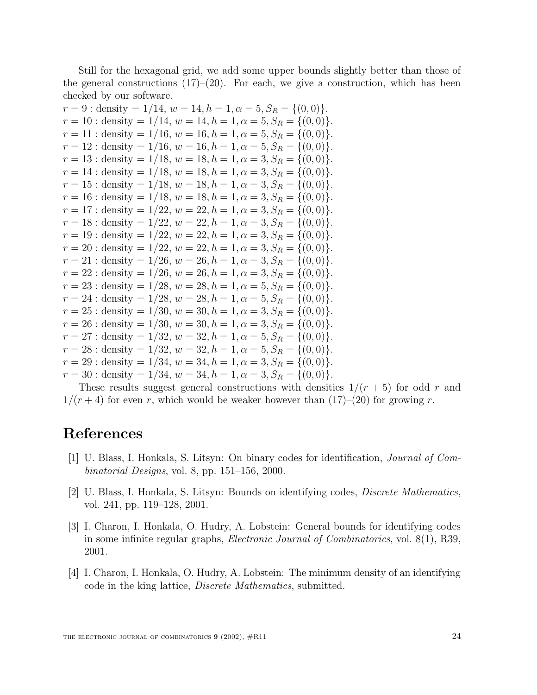Still for the hexagonal grid, we add some upper bounds slightly better than those of the general constructions  $(17)$ – $(20)$ . For each, we give a construction, which has been checked by our software.

| $r = 9$ : density = 1/14, $w = 14$ , $h = 1$ , $\alpha = 5$ , $S_R = \{(0,0)\}.$   |
|------------------------------------------------------------------------------------|
| $r = 10$ : density = 1/14, $w = 14$ , $h = 1$ , $\alpha = 5$ , $S_R = \{(0, 0)\}.$ |
| $r = 11$ : density = 1/16, $w = 16$ , $h = 1$ , $\alpha = 5$ , $S_R = \{(0, 0)\}.$ |
| $r = 12$ : density = 1/16, $w = 16$ , $h = 1$ , $\alpha = 5$ , $S_R = \{(0,0)\}.$  |
| $r = 13$ : density = 1/18, $w = 18$ , $h = 1$ , $\alpha = 3$ , $S_R = \{(0, 0)\}.$ |
| $r = 14$ : density = 1/18, $w = 18$ , $h = 1$ , $\alpha = 3$ , $S_R = \{(0, 0)\}.$ |
| $r = 15$ : density = 1/18, $w = 18$ , $h = 1$ , $\alpha = 3$ , $S_R = \{(0, 0)\}.$ |
| $r = 16$ : density = 1/18, $w = 18$ , $h = 1$ , $\alpha = 3$ , $S_R = \{(0, 0)\}.$ |
| $r = 17$ : density = 1/22, $w = 22$ , $h = 1$ , $\alpha = 3$ , $S_R = \{(0, 0)\}.$ |
| $r = 18$ : density = 1/22, $w = 22$ , $h = 1$ , $\alpha = 3$ , $S_R = \{(0, 0)\}.$ |
| $r = 19$ : density = 1/22, $w = 22$ , $h = 1$ , $\alpha = 3$ , $S_R = \{(0, 0)\}.$ |
| $r = 20$ : density = 1/22, $w = 22$ , $h = 1$ , $\alpha = 3$ , $S_R = \{(0, 0)\}.$ |
| $r = 21$ : density = 1/26, $w = 26$ , $h = 1$ , $\alpha = 3$ , $S_R = \{(0, 0)\}.$ |
| $r = 22$ : density = 1/26, $w = 26$ , $h = 1$ , $\alpha = 3$ , $S_R = \{(0, 0)\}.$ |
| $r = 23$ : density = 1/28, $w = 28$ , $h = 1$ , $\alpha = 5$ , $S_R = \{(0,0)\}.$  |
| $r = 24$ : density = 1/28, $w = 28$ , $h = 1$ , $\alpha = 5$ , $S_R = \{(0, 0)\}.$ |
| $r = 25$ : density = 1/30, $w = 30, h = 1, \alpha = 3, S_R = \{(0, 0)\}.$          |
| $r = 26$ : density = 1/30, $w = 30$ , $h = 1$ , $\alpha = 3$ , $S_R = \{(0, 0)\}.$ |
| $r = 27$ : density = 1/32, $w = 32$ , $h = 1$ , $\alpha = 5$ , $S_R = \{(0, 0)\}.$ |
| $r = 28$ : density = 1/32, $w = 32$ , $h = 1$ , $\alpha = 5$ , $S_R = \{(0, 0)\}.$ |
| $r = 29$ : density = 1/34, $w = 34$ , $h = 1$ , $\alpha = 3$ , $S_R = \{(0, 0)\}.$ |
| $r = 30$ : density = 1/34, $w = 34$ , $h = 1$ , $\alpha = 3$ , $S_R = \{(0, 0)\}.$ |

These results suggest general constructions with densities  $1/(r+5)$  for odd r and  $1/(r+4)$  for even r, which would be weaker however than  $(17)-(20)$  for growing r.

# **References**

- [1] U. Blass, I. Honkala, S. Litsyn: On binary codes for identification, Journal of Combinatorial Designs, vol. 8, pp. 151–156, 2000.
- [2] U. Blass, I. Honkala, S. Litsyn: Bounds on identifying codes, Discrete Mathematics, vol. 241, pp. 119–128, 2001.
- [3] I. Charon, I. Honkala, O. Hudry, A. Lobstein: General bounds for identifying codes in some infinite regular graphs, Electronic Journal of Combinatorics, vol. 8(1), R39, 2001.
- [4] I. Charon, I. Honkala, O. Hudry, A. Lobstein: The minimum density of an identifying code in the king lattice, Discrete Mathematics, submitted.